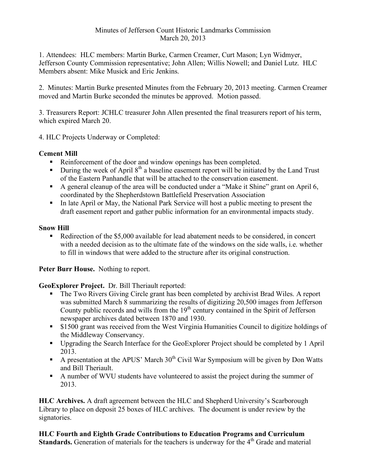### Minutes of Jefferson Count Historic Landmarks Commission March 20, 2013

1. Attendees: HLC members: Martin Burke, Carmen Creamer, Curt Mason; Lyn Widmyer, Jefferson County Commission representative; John Allen; Willis Nowell; and Daniel Lutz. HLC Members absent: Mike Musick and Eric Jenkins.

2. Minutes: Martin Burke presented Minutes from the February 20, 2013 meeting. Carmen Creamer moved and Martin Burke seconded the minutes be approved. Motion passed.

3. Treasurers Report: JCHLC treasurer John Allen presented the final treasurers report of his term, which expired March 20.

4. HLC Projects Underway or Completed:

# **Cement Mill**

- Reinforcement of the door and window openings has been completed.
- During the week of April  $8<sup>th</sup>$  a baseline easement report will be initiated by the Land Trust of the Eastern Panhandle that will be attached to the conservation easement.
- A general cleanup of the area will be conducted under a "Make it Shine" grant on April 6, coordinated by the Shepherdstown Battlefield Preservation Association
- In late April or May, the National Park Service will host a public meeting to present the draft easement report and gather public information for an environmental impacts study.

## **Snow Hill**

 Redirection of the \$5,000 available for lead abatement needs to be considered, in concert with a needed decision as to the ultimate fate of the windows on the side walls, i.e. whether to fill in windows that were added to the structure after its original construction.

# **Peter Burr House.** Nothing to report.

**GeoExplorer Project.** Dr. Bill Theriault reported:

- The Two Rivers Giving Circle grant has been completed by archivist Brad Wiles. A report was submitted March 8 summarizing the results of digitizing 20,500 images from Jefferson County public records and wills from the 19<sup>th</sup> century contained in the Spirit of Jefferson newspaper archives dated between 1870 and 1930.
- \$1500 grant was received from the West Virginia Humanities Council to digitize holdings of the Middleway Conservancy.
- Upgrading the Search Interface for the GeoExplorer Project should be completed by 1 April 2013.
- A presentation at the APUS' March  $30<sup>th</sup>$  Civil War Symposium will be given by Don Watts and Bill Theriault.
- A number of WVU students have volunteered to assist the project during the summer of 2013.

**HLC Archives.** A draft agreement between the HLC and Shepherd University's Scarborough Library to place on deposit 25 boxes of HLC archives. The document is under review by the signatories.

**HLC Fourth and Eighth Grade Contributions to Education Programs and Curriculum Standards.** Generation of materials for the teachers is underway for the 4<sup>th</sup> Grade and material